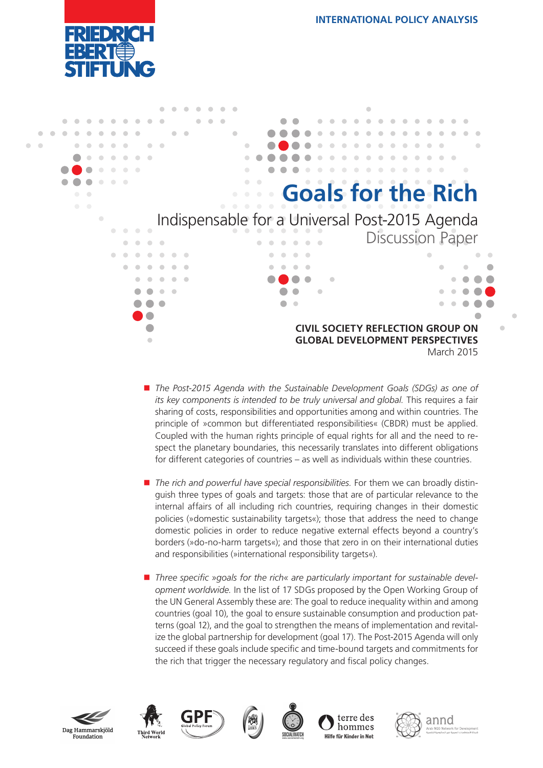



- The Post-2015 Agenda with the Sustainable Development Goals (SDGs) as one of *its key components is intended to be truly universal and global.* This requires a fair sharing of costs, responsibilities and opportunities among and within countries. The principle of »common but differentiated responsibilities« (CBDR) must be applied. Coupled with the human rights principle of equal rights for all and the need to respect the planetary boundaries, this necessarily translates into different obligations for different categories of countries – as well as individuals within these countries.
- **The rich and powerful have special responsibilities.** For them we can broadly distinguish three types of goals and targets: those that are of particular relevance to the internal affairs of all including rich countries, requiring changes in their domestic policies (»domestic sustainability targets«); those that address the need to change domestic policies in order to reduce negative external effects beyond a country's borders (»do-no-harm targets«); and those that zero in on their international duties and responsibilities (»international responsibility targets«).
- Three specific »goals for the rich« are particularly important for sustainable devel*opment worldwide.* In the list of 17 SDGs proposed by the Open Working Group of the UN General Assembly these are: The goal to reduce inequality within and among countries (goal 10), the goal to ensure sustainable consumption and production patterns (goal 12), and the goal to strengthen the means of implementation and revitalize the global partnership for development (goal 17). The Post-2015 Agenda will only succeed if these goals include specific and time-bound targets and commitments for the rich that trigger the necessary regulatory and fiscal policy changes.











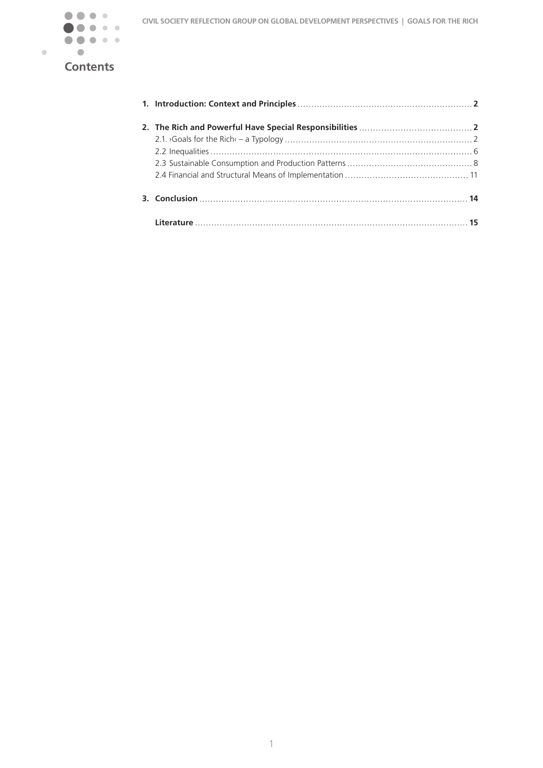

# **Contents**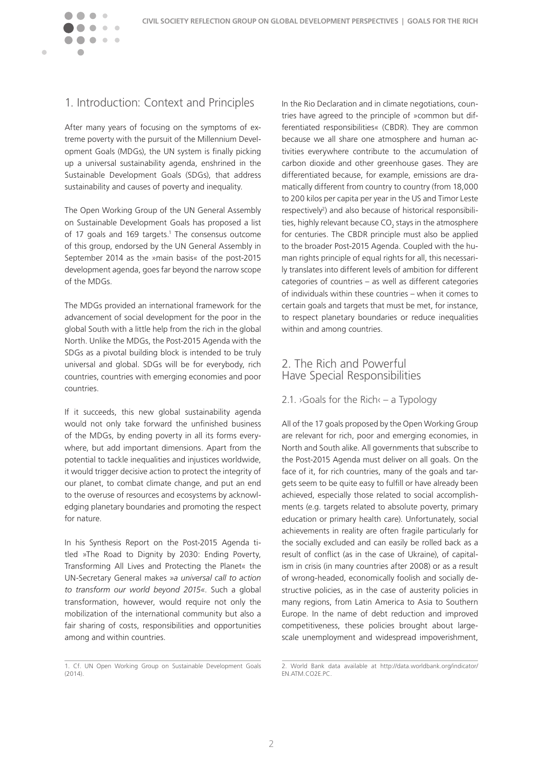

<span id="page-2-0"></span>

## 1. Introduction: Context and Principles

After many years of focusing on the symptoms of extreme poverty with the pursuit of the Millennium Development Goals (MDGs), the UN system is finally picking up a universal sustainability agenda, enshrined in the Sustainable Development Goals (SDGs), that address sustainability and causes of poverty and inequality.

The Open Working Group of the UN General Assembly on Sustainable Development Goals has proposed a list of 17 goals and 169 targets.<sup>1</sup> The consensus outcome of this group, endorsed by the UN General Assembly in September 2014 as the »main basis« of the post-2015 development agenda, goes far beyond the narrow scope of the MDGs.

The MDGs provided an international framework for the advancement of social development for the poor in the global South with a little help from the rich in the global North. Unlike the MDGs, the Post-2015 Agenda with the SDGs as a pivotal building block is intended to be truly universal and global. SDGs will be for everybody, rich countries, countries with emerging economies and poor countries.

If it succeeds, this new global sustainability agenda would not only take forward the unfinished business of the MDGs, by ending poverty in all its forms everywhere, but add important dimensions. Apart from the potential to tackle inequalities and injustices worldwide, it would trigger decisive action to protect the integrity of our planet, to combat climate change, and put an end to the overuse of resources and ecosystems by acknowledging planetary boundaries and promoting the respect for nature.

In his Synthesis Report on the Post-2015 Agenda titled »The Road to Dignity by 2030: Ending Poverty, Transforming All Lives and Protecting the Planet« the UN-Secretary General makes *»a universal call to action to transform our world beyond 2015«*. Such a global transformation, however, would require not only the mobilization of the international community but also a fair sharing of costs, responsibilities and opportunities among and within countries.

1. Cf. UN Open Working Group on Sustainable Development Goals  $(2014)$ .

In the Rio Declaration and in climate negotiations, countries have agreed to the principle of »common but differentiated responsibilities« (CBDR). They are common because we all share one atmosphere and human activities everywhere contribute to the accumulation of carbon dioxide and other greenhouse gases. They are differentiated because, for example, emissions are dramatically different from country to country (from 18,000 to 200 kilos per capita per year in the US and Timor Leste respectively<sup>2</sup>) and also because of historical responsibilities, highly relevant because CO<sub>2</sub> stays in the atmosphere for centuries. The CBDR principle must also be applied to the broader Post-2015 Agenda. Coupled with the human rights principle of equal rights for all, this necessarily translates into different levels of ambition for different categories of countries – as well as different categories of individuals within these countries – when it comes to certain goals and targets that must be met, for instance, to respect planetary boundaries or reduce inequalities within and among countries.

## 2. The Rich and Powerful Have Special Responsibilities

### 2.1.  $\circ$  Goals for the Rich $\circ$  – a Typology

All of the 17 goals proposed by the Open Working Group are relevant for rich, poor and emerging economies, in North and South alike. All governments that subscribe to the Post-2015 Agenda must deliver on all goals. On the face of it, for rich countries, many of the goals and targets seem to be quite easy to fulfill or have already been achieved, especially those related to social accomplishments (e.g. targets related to absolute poverty, primary education or primary health care). Unfortunately, social achievements in reality are often fragile particularly for the socially excluded and can easily be rolled back as a result of conflict (as in the case of Ukraine), of capitalism in crisis (in many countries after 2008) or as a result of wrong-headed, economically foolish and socially destructive policies, as in the case of austerity policies in many regions, from Latin America to Asia to Southern Europe. In the name of debt reduction and improved competitiveness, these policies brought about largescale unemployment and widespread impoverishment,

<sup>2.</sup> World Bank data available at http://data.worldbank.org/indicator/ EN.ATM.CO2E.PC.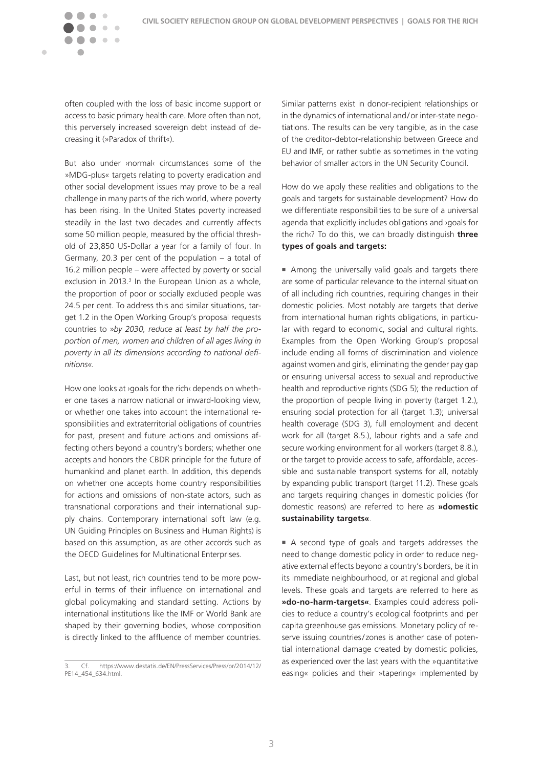$\sim$   $\sim$ 

 $\blacksquare$ 

often coupled with the loss of basic income support or access to basic primary health care. More often than not, this perversely increased sovereign debt instead of decreasing it (»Paradox of thrift«).

But also under ›normal‹ circumstances some of the »MDG-plus« targets relating to poverty eradication and other social development issues may prove to be a real challenge in many parts of the rich world, where poverty has been rising. In the United States poverty increased steadily in the last two decades and currently affects some 50 million people, measured by the official threshold of 23,850 US-Dollar a year for a family of four. In Germany, 20.3 per cent of the population – a total of 16.2 million people – were affected by poverty or social exclusion in 2013. $3 \text{ In the European Union as a whole}$ , the proportion of poor or socially excluded people was 24.5 per cent. To address this and similar situations, target 1.2 in the Open Working Group's proposal requests countries to *»by 2030, reduce at least by half the proportion of men, women and children of all ages living in poverty in all its dimensions according to national definitions«.* 

How one looks at ›goals for the rich‹ depends on whether one takes a narrow national or inward-looking view, or whether one takes into account the international responsibilities and extraterritorial obligations of countries for past, present and future actions and omissions affecting others beyond a country's borders; whether one accepts and honors the CBDR principle for the future of humankind and planet earth. In addition, this depends on whether one accepts home country responsibilities for actions and omissions of non-state actors, such as transnational corporations and their international supply chains. Contemporary international soft law (e.g. UN Guiding Principles on Business and Human Rights) is based on this assumption, as are other accords such as the OECD Guidelines for Multinational Enterprises.

Last, but not least, rich countries tend to be more powerful in terms of their influence on international and global policymaking and standard setting. Actions by international institutions like the IMF or World Bank are shaped by their governing bodies, whose composition is directly linked to the affluence of member countries.

Similar patterns exist in donor-recipient relationships or in the dynamics of international and/or inter-state negotiations. The results can be very tangible, as in the case of the creditor-debtor-relationship between Greece and EU and IMF, or rather subtle as sometimes in the voting behavior of smaller actors in the UN Security Council.

How do we apply these realities and obligations to the goals and targets for sustainable development? How do we differentiate responsibilities to be sure of a universal agenda that explicitly includes obligations and ›goals for the rich‹? To do this, we can broadly distinguish **three types of goals and targets:**

■ Among the universally valid goals and targets there are some of particular relevance to the internal situation of all including rich countries, requiring changes in their domestic policies. Most notably are targets that derive from international human rights obligations, in particular with regard to economic, social and cultural rights. Examples from the Open Working Group's proposal include ending all forms of discrimination and violence against women and girls, eliminating the gender pay gap or ensuring universal access to sexual and reproductive health and reproductive rights (SDG 5); the reduction of the proportion of people living in poverty (target 1.2.), ensuring social protection for all (target 1.3); universal health coverage (SDG 3), full employment and decent work for all (target 8.5.), labour rights and a safe and secure working environment for all workers (target 8.8.), or the target to provide access to safe, affordable, accessible and sustainable transport systems for all, notably by expanding public transport (target 11.2). These goals and targets requiring changes in domestic policies (for domestic reasons) are referred to here as **»domestic sustainability targets«**.

<sup>n</sup> A second type of goals and targets addresses the need to change domestic policy in order to reduce negative external effects beyond a country's borders, be it in its immediate neighbourhood, or at regional and global levels. These goals and targets are referred to here as **»do-no-harm-targets«**. Examples could address policies to reduce a country's ecological footprints and per capita greenhouse gas emissions. Monetary policy of reserve issuing countries/ zones is another case of potential international damage created by domestic policies, as experienced over the last years with the »quantitative easing« policies and their »tapering« implemented by

<sup>3.</sup> Cf. https://www.destatis.de/EN/PressServices/Press/pr/2014/12/ PE14\_454\_634.html.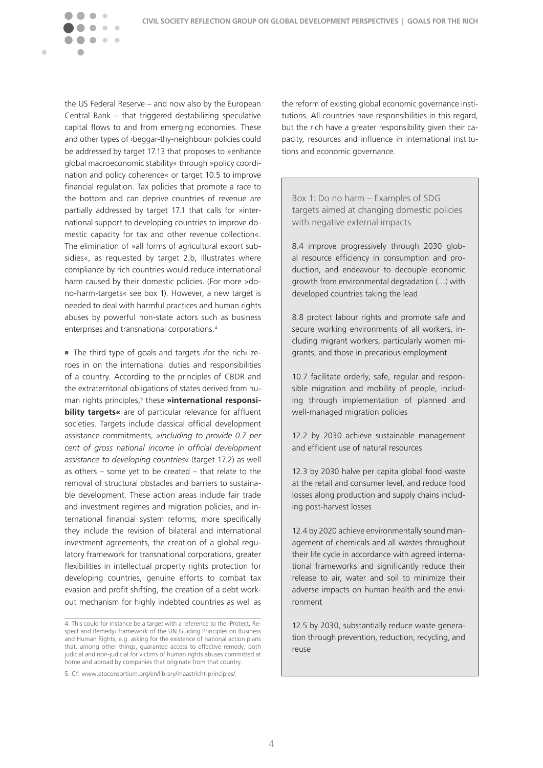the US Federal Reserve – and now also by the European Central Bank – that triggered destabilizing speculative capital flows to and from emerging economies. These and other types of ›beggar-thy-neighbour‹ policies could be addressed by target 17.13 that proposes to »enhance global macroeconomic stability« through »policy coordination and policy coherence« or target 10.5 to improve financial regulation. Tax policies that promote a race to the bottom and can deprive countries of revenue are partially addressed by target 17.1 that calls for »international support to developing countries to improve domestic capacity for tax and other revenue collection«. The elimination of »all forms of agricultural export subsidies«, as requested by target 2.b, illustrates where compliance by rich countries would reduce international harm caused by their domestic policies. (For more »dono-harm-targets« see box 1). However, a new target is needed to deal with harmful practices and human rights abuses by powerful non-state actors such as business enterprises and transnational corporations.4

 $\sim$ 

 $\blacksquare$ 

■ The third type of goals and targets > for the rich‹ zeroes in on the international duties and responsibilities of a country. According to the principles of CBDR and the extraterritorial obligations of states derived from human rights principles,<sup>5</sup> these **»international responsibility targets«** are of particular relevance for affluent societies. Targets include classical official development assistance commitments, *»including to provide 0.7 per cent of gross national income in official development assistance to developing countries«* (target 17.2) as well as others – some yet to be created – that relate to the removal of structural obstacles and barriers to sustainable development. These action areas include fair trade and investment regimes and migration policies, and international financial system reforms; more specifically they include the revision of bilateral and international investment agreements, the creation of a global regulatory framework for transnational corporations, greater flexibilities in intellectual property rights protection for developing countries, genuine efforts to combat tax evasion and profit shifting, the creation of a debt workout mechanism for highly indebted countries as well as

the reform of existing global economic governance institutions. All countries have responsibilities in this regard, but the rich have a greater responsibility given their capacity, resources and influence in international institutions and economic governance.

Box 1: Do no harm – Examples of SDG targets aimed at changing domestic policies with negative external impacts

8.4 improve progressively through 2030 global resource efficiency in consumption and production, and endeavour to decouple economic growth from environmental degradation (…) with developed countries taking the lead

8.8 protect labour rights and promote safe and secure working environments of all workers, including migrant workers, particularly women migrants, and those in precarious employment

10.7 facilitate orderly, safe, regular and responsible migration and mobility of people, including through implementation of planned and well-managed migration policies

12.2 by 2030 achieve sustainable management and efficient use of natural resources

12.3 by 2030 halve per capita global food waste at the retail and consumer level, and reduce food losses along production and supply chains including post-harvest losses

12.4 by 2020 achieve environmentally sound management of chemicals and all wastes throughout their life cycle in accordance with agreed international frameworks and significantly reduce their release to air, water and soil to minimize their adverse impacts on human health and the environment

12.5 by 2030, substantially reduce waste generation through prevention, reduction, recycling, and reuse

<sup>4.</sup> This could for instance be a target with a reference to the ›Protect, Respect and Remedy‹ framework of the UN Guiding Principles on Business and Human Rights, e.g. asking for the existence of national action plans that, among other things, guarantee access to effective remedy, both judicial and non-judicial for victims of human rights abuses committed at home and abroad by companies that originate from that country.

<sup>5.</sup> Cf. www.etoconsortium.org/en/library/maastricht-principles/.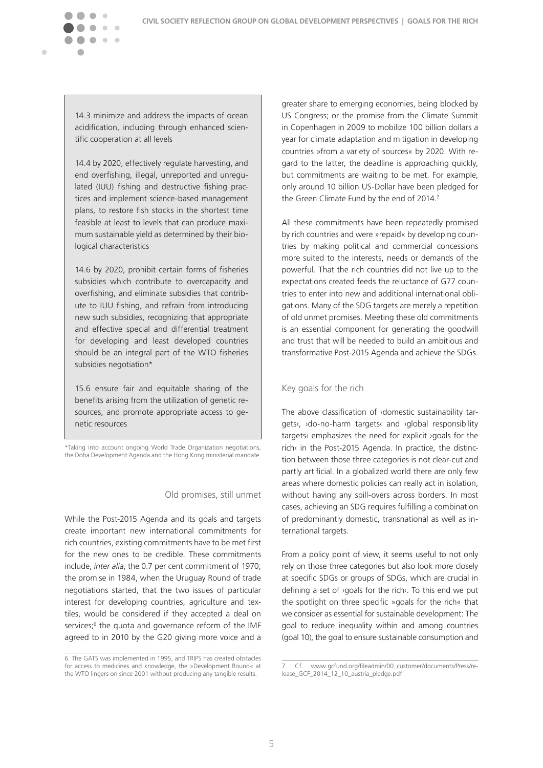$\sqrt{2}$ 

 $\blacksquare$ 

14.3 minimize and address the impacts of ocean acidification, including through enhanced scientific cooperation at all levels

14.4 by 2020, effectively regulate harvesting, and end overfishing, illegal, unreported and unregulated (IUU) fishing and destructive fishing practices and implement science-based management plans, to restore fish stocks in the shortest time feasible at least to levels that can produce maximum sustainable yield as determined by their biological characteristics

14.6 by 2020, prohibit certain forms of fisheries subsidies which contribute to overcapacity and overfishing, and eliminate subsidies that contribute to IUU fishing, and refrain from introducing new such subsidies, recognizing that appropriate and effective special and differential treatment for developing and least developed countries should be an integral part of the WTO fisheries subsidies negotiation\*

15.6 ensure fair and equitable sharing of the benefits arising from the utilization of genetic resources, and promote appropriate access to genetic resources

\*Taking into account ongoing World Trade Organization negotiations, the Doha Development Agenda and the Hong Kong ministerial mandate.

### Old promises, still unmet

While the Post-2015 Agenda and its goals and targets create important new international commitments for rich countries, existing commitments have to be met first for the new ones to be credible. These commitments include, *inter alia*, the 0.7 per cent commitment of 1970; the promise in 1984, when the Uruguay Round of trade negotiations started, that the two issues of particular interest for developing countries, agriculture and textiles, would be considered if they accepted a deal on services;<sup>6</sup> the quota and governance reform of the IMF agreed to in 2010 by the G20 giving more voice and a

greater share to emerging economies, being blocked by US Congress; or the promise from the Climate Summit in Copenhagen in 2009 to mobilize 100 billion dollars a year for climate adaptation and mitigation in developing countries »from a variety of sources« by 2020. With regard to the latter, the deadline is approaching quickly, but commitments are waiting to be met. For example, only around 10 billion US-Dollar have been pledged for the Green Climate Fund by the end of 2014.7

All these commitments have been repeatedly promised by rich countries and were »repaid« by developing countries by making political and commercial concessions more suited to the interests, needs or demands of the powerful. That the rich countries did not live up to the expectations created feeds the reluctance of G77 countries to enter into new and additional international obligations. Many of the SDG targets are merely a repetition of old unmet promises. Meeting these old commitments is an essential component for generating the goodwill and trust that will be needed to build an ambitious and transformative Post-2015 Agenda and achieve the SDGs.

### Key goals for the rich

The above classification of ›domestic sustainability targets‹, ›do-no-harm targets‹ and ›global responsibility targets‹ emphasizes the need for explicit ›goals for the rich‹ in the Post-2015 Agenda. In practice, the distinction between those three categories is not clear-cut and partly artificial. In a globalized world there are only few areas where domestic policies can really act in isolation, without having any spill-overs across borders. In most cases, achieving an SDG requires fulfilling a combination of predominantly domestic, transnational as well as international targets.

From a policy point of view, it seems useful to not only rely on those three categories but also look more closely at specific SDGs or groups of SDGs, which are crucial in defining a set of ›goals for the rich‹. To this end we put the spotlight on three specific »goals for the rich« that we consider as essential for sustainable development: The goal to reduce inequality within and among countries (goal 10), the goal to ensure sustainable consumption and

<sup>6.</sup> The GATS was implemented in 1995, and TRIPS has created obstacles for access to medicines and knowledge, the »Development Round« at the WTO lingers on since 2001 without producing any tangible results.

<sup>7.</sup> Cf. www.gcfund.org/fileadmin/00\_customer/documents/Press/release\_GCF\_2014\_12\_10\_austria\_pledge.pdf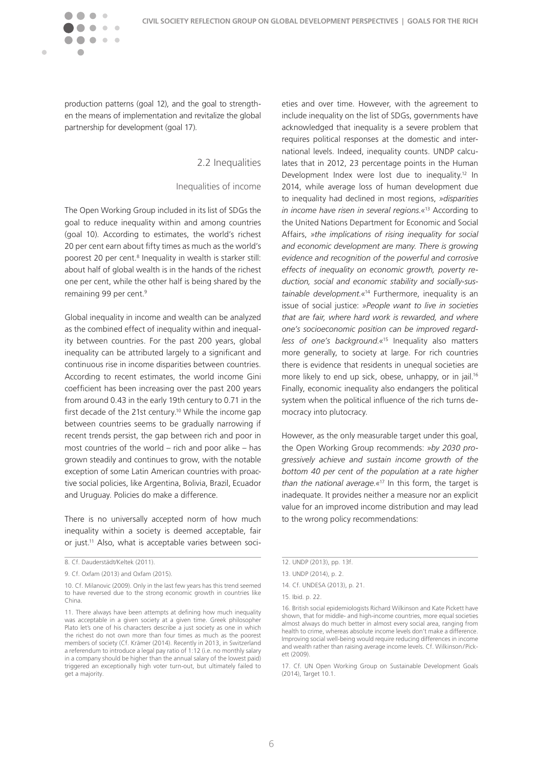

production patterns (goal 12), and the goal to strengthen the means of implementation and revitalize the global partnership for development (goal 17).

 $\sim$ 

<span id="page-6-0"></span> $\blacksquare$ 

### 2.2 Inequalities

### Inequalities of income

The Open Working Group included in its list of SDGs the goal to reduce inequality within and among countries (goal 10). According to estimates, the world's richest 20 per cent earn about fifty times as much as the world's poorest 20 per cent.<sup>8</sup> Inequality in wealth is starker still: about half of global wealth is in the hands of the richest one per cent, while the other half is being shared by the remaining 99 per cent.<sup>9</sup>

Global inequality in income and wealth can be analyzed as the combined effect of inequality within and inequality between countries. For the past 200 years, global inequality can be attributed largely to a significant and continuous rise in income disparities between countries. According to recent estimates, the world income Gini coefficient has been increasing over the past 200 years from around 0.43 in the early 19th century to 0.71 in the first decade of the 21st century.<sup>10</sup> While the income gap between countries seems to be gradually narrowing if recent trends persist, the gap between rich and poor in most countries of the world – rich and poor alike – has grown steadily and continues to grow, with the notable exception of some Latin American countries with proactive social policies, like Argentina, Bolivia, Brazil, Ecuador and Uruguay. Policies do make a difference.

There is no universally accepted norm of how much inequality within a society is deemed acceptable, fair or just.<sup>11</sup> Also, what is acceptable varies between soci-

eties and over time. However, with the agreement to include inequality on the list of SDGs, governments have acknowledged that inequality is a severe problem that requires political responses at the domestic and international levels. Indeed, inequality counts. UNDP calculates that in 2012, 23 percentage points in the Human Development Index were lost due to inequality.<sup>12</sup> In 2014, while average loss of human development due to inequality had declined in most regions, *»disparities in income have risen in several regions.«*13 According to the United Nations Department for Economic and Social Affairs, *»the implications of rising inequality for social and economic development are many. There is growing evidence and recognition of the powerful and corrosive effects of inequality on economic growth, poverty reduction, social and economic stability and socially-sustainable development.«*14 Furthermore, inequality is an issue of social justice: *»People want to live in societies that are fair, where hard work is rewarded, and where one's socioeconomic position can be improved regardless of one's background.«*15 Inequality also matters more generally, to society at large. For rich countries there is evidence that residents in unequal societies are more likely to end up sick, obese, unhappy, or in jail.<sup>16</sup> Finally, economic inequality also endangers the political system when the political influence of the rich turns democracy into plutocracy.

However, as the only measurable target under this goal, the Open Working Group recommends: *»by 2030 progressively achieve and sustain income growth of the bottom 40 per cent of the population at a rate higher than the national average.«*17 In this form, the target is inadequate. It provides neither a measure nor an explicit value for an improved income distribution and may lead to the wrong policy recommendations:

<sup>8.</sup> Cf. Dauderstädt/Keltek (2011).

<sup>9.</sup> Cf. Oxfam (2013) and Oxfam (2015).

<sup>10.</sup> Cf. Milanovic (2009). Only in the last few years has this trend seemed to have reversed due to the strong economic growth in countries like China.

<sup>11.</sup> There always have been attempts at defining how much inequality was acceptable in a given society at a given time. Greek philosopher Plato let's one of his characters describe a just society as one in which the richest do not own more than four times as much as the poorest members of society (Cf. Krämer (2014). Recently in 2013, in Switzerland a referendum to introduce a legal pay ratio of 1:12 (i.e. no monthly salary in a company should be higher than the annual salary of the lowest paid) triggered an exceptionally high voter turn-out, but ultimately failed to get a majority.

<sup>12.</sup> UNDP (2013), pp. 13f.

<sup>13.</sup> UNDP (2014), p. 2.

<sup>14.</sup> Cf. UNDESA (2013), p. 21.

<sup>15.</sup> Ibid. p. 22.

<sup>16.</sup> British social epidemiologists Richard Wilkinson and Kate Pickett have shown, that for middle- and high-income countries, more equal societies almost always do much better in almost every social area, ranging from health to crime, whereas absolute income levels don't make a difference. Improving social well-being would require reducing differences in income and wealth rather than raising average income levels. Cf. Wilkinson/Pickett (2009).

<sup>17.</sup> Cf. UN Open Working Group on Sustainable Development Goals (2014), Target 10.1.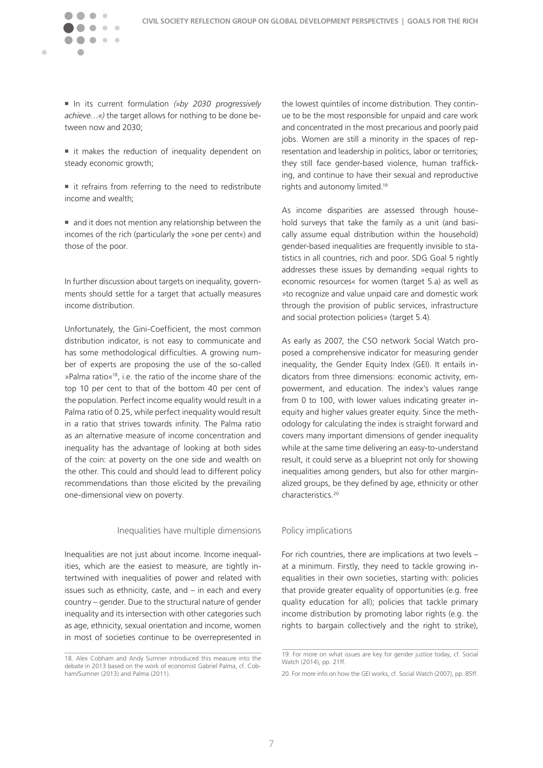

 $\sim$   $\sim$ 

 $\blacksquare$ 

■ In its current formulation (»by 2030 progressively *achieve…«)* the target allows for nothing to be done between now and 2030;

- $\blacksquare$  it makes the reduction of inequality dependent on steady economic growth;
- $\blacksquare$  it refrains from referring to the need to redistribute income and wealth;
- $\blacksquare$  and it does not mention any relationship between the incomes of the rich (particularly the »one per cent«) and those of the poor.

In further discussion about targets on inequality, governments should settle for a target that actually measures income distribution.

Unfortunately, the Gini-Coefficient, the most common distribution indicator, is not easy to communicate and has some methodological difficulties. A growing number of experts are proposing the use of the so-called »Palma ratio«18, i.e. the ratio of the income share of the top 10 per cent to that of the bottom 40 per cent of the population. Perfect income equality would result in a Palma ratio of 0.25, while perfect inequality would result in a ratio that strives towards infinity. The Palma ratio as an alternative measure of income concentration and inequality has the advantage of looking at both sides of the coin: at poverty on the one side and wealth on the other. This could and should lead to different policy recommendations than those elicited by the prevailing one-dimensional view on poverty.

#### Inequalities have multiple dimensions

Inequalities are not just about income. Income inequalities, which are the easiest to measure, are tightly intertwined with inequalities of power and related with issues such as ethnicity, caste, and – in each and every country – gender. Due to the structural nature of gender inequality and its intersection with other categories such as age, ethnicity, sexual orientation and income, women in most of societies continue to be overrepresented in

the lowest quintiles of income distribution. They continue to be the most responsible for unpaid and care work and concentrated in the most precarious and poorly paid jobs. Women are still a minority in the spaces of representation and leadership in politics, labor or territories; they still face gender-based violence, human trafficking, and continue to have their sexual and reproductive rights and autonomy limited.19

As income disparities are assessed through household surveys that take the family as a unit (and basically assume equal distribution within the household) gender-based inequalities are frequently invisible to statistics in all countries, rich and poor. SDG Goal 5 rightly addresses these issues by demanding »equal rights to economic resources« for women (target 5.a) as well as »to recognize and value unpaid care and domestic work through the provision of public services, infrastructure and social protection policies» (target 5.4).

As early as 2007, the CSO network Social Watch proposed a comprehensive indicator for measuring gender inequality, the Gender Equity Index (GEI). It entails indicators from three dimensions: economic activity, empowerment, and education. The index's values range from 0 to 100, with lower values indicating greater inequity and higher values greater equity. Since the methodology for calculating the index is straight forward and covers many important dimensions of gender inequality while at the same time delivering an easy-to-understand result, it could serve as a blueprint not only for showing inequalities among genders, but also for other marginalized groups, be they defined by age, ethnicity or other characteristics.20

### Policy implications

For rich countries, there are implications at two levels – at a minimum. Firstly, they need to tackle growing inequalities in their own societies, starting with: policies that provide greater equality of opportunities (e.g. free quality education for all); policies that tackle primary income distribution by promoting labor rights (e.g. the rights to bargain collectively and the right to strike),

<sup>18.</sup> Alex Cobham and Andy Sumner introduced this measure into the debate in 2013 based on the work of economist Gabriel Palma, cf. Cobham/Sumner (2013) and Palma (2011).

<sup>19.</sup> For more on what issues are key for gender justice today, cf. Social Watch (2014), pp. 21ff.

<sup>20.</sup> For more info on how the GEI works, cf. Social Watch (2007), pp. 85ff.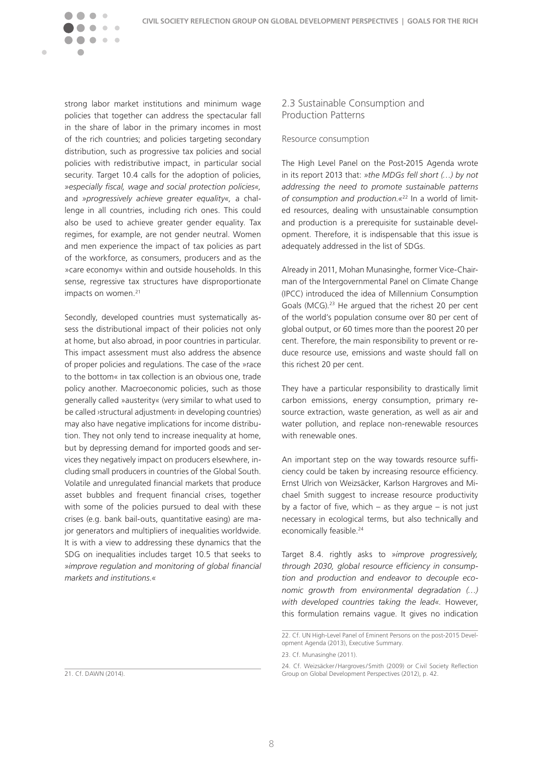strong labor market institutions and minimum wage policies that together can address the spectacular fall in the share of labor in the primary incomes in most of the rich countries; and policies targeting secondary distribution, such as progressive tax policies and social policies with redistributive impact, in particular social security. Target 10.4 calls for the adoption of policies, *»especially fiscal, wage and social protection policies«,*  and *»progressively achieve greater equality«,* a challenge in all countries, including rich ones. This could also be used to achieve greater gender equality. Tax regimes, for example, are not gender neutral. Women and men experience the impact of tax policies as part of the workforce, as consumers, producers and as the »care economy« within and outside households. In this sense, regressive tax structures have disproportionate impacts on women.<sup>21</sup>

 $\sqrt{2}$ 

<span id="page-8-0"></span> $\blacksquare$ 

 $\sim$   $\sim$ 

Secondly, developed countries must systematically assess the distributional impact of their policies not only at home, but also abroad, in poor countries in particular. This impact assessment must also address the absence of proper policies and regulations. The case of the »race to the bottom« in tax collection is an obvious one, trade policy another. Macroeconomic policies, such as those generally called »austerity« (very similar to what used to be called ›structural adjustment‹ in developing countries) may also have negative implications for income distribution. They not only tend to increase inequality at home, but by depressing demand for imported goods and services they negatively impact on producers elsewhere, including small producers in countries of the Global South. Volatile and unregulated financial markets that produce asset bubbles and frequent financial crises, together with some of the policies pursued to deal with these crises (e.g. bank bail-outs, quantitative easing) are major generators and multipliers of inequalities worldwide. It is with a view to addressing these dynamics that the SDG on inequalities includes target 10.5 that seeks to *»improve regulation and monitoring of global financial markets and institutions.«*

21. Cf. DAWN (2014).

### 2.3 Sustainable Consumption and Production Patterns

### Resource consumption

The High Level Panel on the Post-2015 Agenda wrote in its report 2013 that: *»the MDGs fell short (…) by not addressing the need to promote sustainable patterns of consumption and production.«*22 In a world of limited resources, dealing with unsustainable consumption and production is a prerequisite for sustainable development. Therefore, it is indispensable that this issue is adequately addressed in the list of SDGs.

Already in 2011, Mohan Munasinghe, former Vice-Chairman of the Intergovernmental Panel on Climate Change (IPCC) introduced the idea of Millennium Consumption Goals (MCG).23 He argued that the richest 20 per cent of the world's population consume over 80 per cent of global output, or 60 times more than the poorest 20 per cent. Therefore, the main responsibility to prevent or reduce resource use, emissions and waste should fall on this richest 20 per cent.

They have a particular responsibility to drastically limit carbon emissions, energy consumption, primary resource extraction, waste generation, as well as air and water pollution, and replace non-renewable resources with renewable ones.

An important step on the way towards resource sufficiency could be taken by increasing resource efficiency. Ernst Ulrich von Weizsäcker, Karlson Hargroves and Michael Smith suggest to increase resource productivity by a factor of five, which  $-$  as they argue  $-$  is not just necessary in ecological terms, but also technically and economically feasible.<sup>24</sup>

Target 8.4. rightly asks to *»improve progressively, through 2030, global resource efficiency in consumption and production and endeavor to decouple economic growth from environmental degradation (…) with developed countries taking the lead«.* However, this formulation remains vague. It gives no indication

<sup>22.</sup> Cf. UN High-Level Panel of Eminent Persons on the post-2015 Development Agenda (2013), Executive Summary.

<sup>23.</sup> Cf. Munasinghe (2011).

<sup>24.</sup> Cf. Weizsäcker/Hargroves/ Smith (2009) or Civil Society Reflection Group on Global Development Perspectives (2012), p. 42.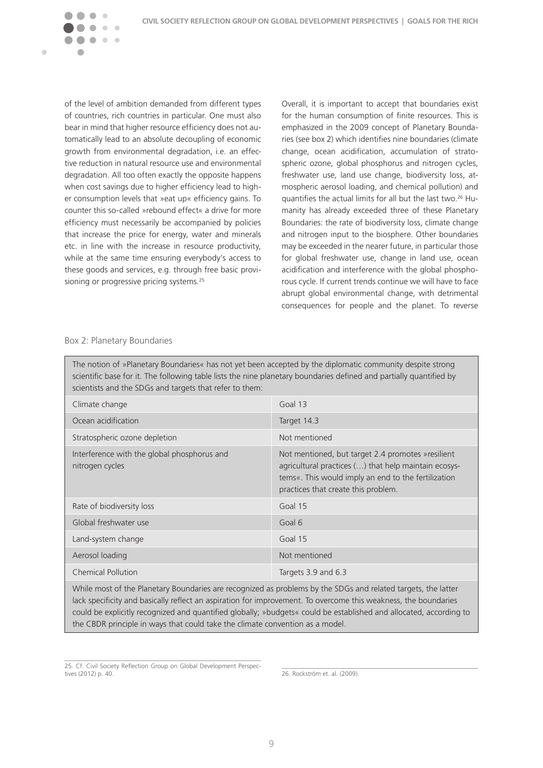

of the level of ambition demanded from different types of countries, rich countries in particular. One must also bear in mind that higher resource efficiency does not automatically lead to an absolute decoupling of economic growth from environmental degradation, i.e. an effective reduction in natural resource use and environmental degradation. All too often exactly the opposite happens when cost savings due to higher efficiency lead to higher consumption levels that »eat up« efficiency gains. To counter this so-called »rebound effect« a drive for more efficiency must necessarily be accompanied by policies that increase the price for energy, water and minerals etc. in line with the increase in resource productivity, while at the same time ensuring everybody's access to these goods and services, e.g. through free basic provisioning or progressive pricing systems.<sup>25</sup>

Overall, it is important to accept that boundaries exist for the human consumption of finite resources. This is emphasized in the 2009 concept of Planetary Boundaries (see box 2) which identifies nine boundaries (climate change, ocean acidification, accumulation of stratospheric ozone, global phosphorus and nitrogen cycles, freshwater use, land use change, biodiversity loss, atmospheric aerosol loading, and chemical pollution) and quantifies the actual limits for all but the last two.26 Humanity has already exceeded three of these Planetary Boundaries: the rate of biodiversity loss, climate change and nitrogen input to the biosphere. Other boundaries may be exceeded in the nearer future, in particular those for global freshwater use, change in land use, ocean acidification and interference with the global phosphorous cycle. If current trends continue we will have to face abrupt global environmental change, with detrimental consequences for people and the planet. To reverse

### Box 2: Planetary Boundaries

The notion of »Planetary Boundaries« has not yet been accepted by the diplomatic community despite strong scientific base for it. The following table lists the nine planetary boundaries defined and partially quantified by scientists and the SDGs and targets that refer to them:

| Climate change                                                 | Goal $13$                                                                                                                                                                                                |  |
|----------------------------------------------------------------|----------------------------------------------------------------------------------------------------------------------------------------------------------------------------------------------------------|--|
| Ocean acidification                                            | Target 14.3                                                                                                                                                                                              |  |
| Stratospheric ozone depletion                                  | Not mentioned                                                                                                                                                                                            |  |
| Interference with the global phosphorus and<br>nitrogen cycles | Not mentioned, but target 2.4 promotes » resilient<br>agricultural practices () that help maintain ecosys-<br>tems«. This would imply an end to the fertilization<br>practices that create this problem. |  |
| Rate of biodiversity loss                                      | Goal 15                                                                                                                                                                                                  |  |
| Global freshwater use                                          | Goal 6                                                                                                                                                                                                   |  |
| Land-system change                                             | Goal 15                                                                                                                                                                                                  |  |
| Aerosol loading                                                | Not mentioned                                                                                                                                                                                            |  |
| Chemical Pollution                                             | Targets 3.9 and 6.3                                                                                                                                                                                      |  |
|                                                                |                                                                                                                                                                                                          |  |

While most of the Planetary Boundaries are recognized as problems by the SDGs and related targets, the latter lack specificity and basically reflect an aspiration for improvement. To overcome this weakness, the boundaries could be explicitly recognized and quantified globally; »budgets« could be established and allocated, according to the CBDR principle in ways that could take the climate convention as a model.

26. Rockström et. al. (2009).

<sup>25.</sup> Cf. Civil Society Reflection Group on Global Development Perspectives (2012) p. 40.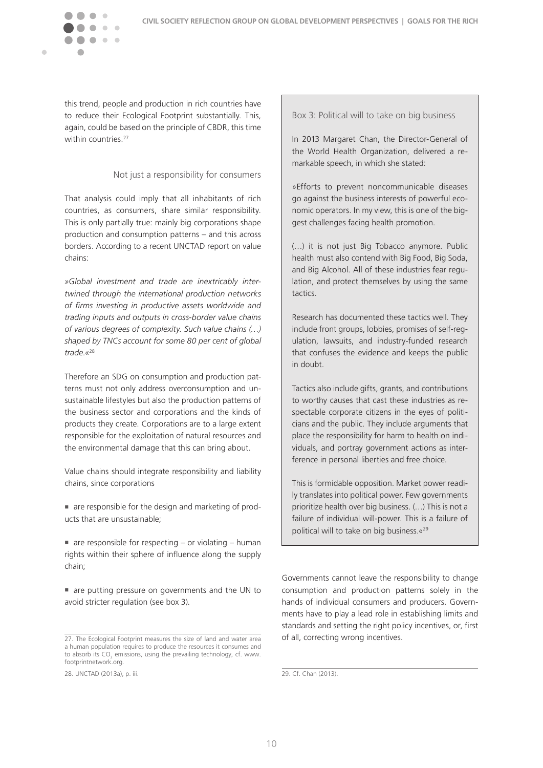

this trend, people and production in rich countries have to reduce their Ecological Footprint substantially. This, again, could be based on the principle of CBDR, this time within countries.<sup>27</sup>

### Not just a responsibility for consumers

That analysis could imply that all inhabitants of rich countries, as consumers, share similar responsibility. This is only partially true: mainly big corporations shape production and consumption patterns – and this across borders. According to a recent UNCTAD report on value chains:

*»Global investment and trade are inextricably intertwined through the international production networks of firms investing in productive assets worldwide and trading inputs and outputs in cross-border value chains of various degrees of complexity. Such value chains (…) shaped by TNCs account for some 80 per cent of global trade.«*<sup>28</sup>

Therefore an SDG on consumption and production patterns must not only address overconsumption and unsustainable lifestyles but also the production patterns of the business sector and corporations and the kinds of products they create. Corporations are to a large extent responsible for the exploitation of natural resources and the environmental damage that this can bring about.

Value chains should integrate responsibility and liability chains, since corporations

- n are responsible for the design and marketing of products that are unsustainable;
- $\blacksquare$  are responsible for respecting or violating human rights within their sphere of influence along the supply chain;

n are putting pressure on governments and the UN to avoid stricter regulation (see box 3).

28. UNCTAD (2013a), p. iii.

Box 3: Political will to take on big business

In 2013 Margaret Chan, the Director-General of the World Health Organization, delivered a remarkable speech, in which she stated:

»Efforts to prevent noncommunicable diseases go against the business interests of powerful economic operators. In my view, this is one of the biggest challenges facing health promotion.

(…) it is not just Big Tobacco anymore. Public health must also contend with Big Food, Big Soda, and Big Alcohol. All of these industries fear regulation, and protect themselves by using the same tactics.

Research has documented these tactics well. They include front groups, lobbies, promises of self-regulation, lawsuits, and industry-funded research that confuses the evidence and keeps the public in doubt.

Tactics also include gifts, grants, and contributions to worthy causes that cast these industries as respectable corporate citizens in the eyes of politicians and the public. They include arguments that place the responsibility for harm to health on individuals, and portray government actions as interference in personal liberties and free choice.

This is formidable opposition. Market power readily translates into political power. Few governments prioritize health over big business. (…) This is not a failure of individual will-power. This is a failure of political will to take on big business.«29

Governments cannot leave the responsibility to change consumption and production patterns solely in the hands of individual consumers and producers. Governments have to play a lead role in establishing limits and standards and setting the right policy incentives, or, first of all, correcting wrong incentives.

29. Cf. Chan (2013).

<sup>27.</sup> The Ecological Footprint measures the size of land and water area a human population requires to produce the resources it consumes and to absorb its  $CO_2$  emissions, using the prevailing technology, cf. www. footprintnetwork.org.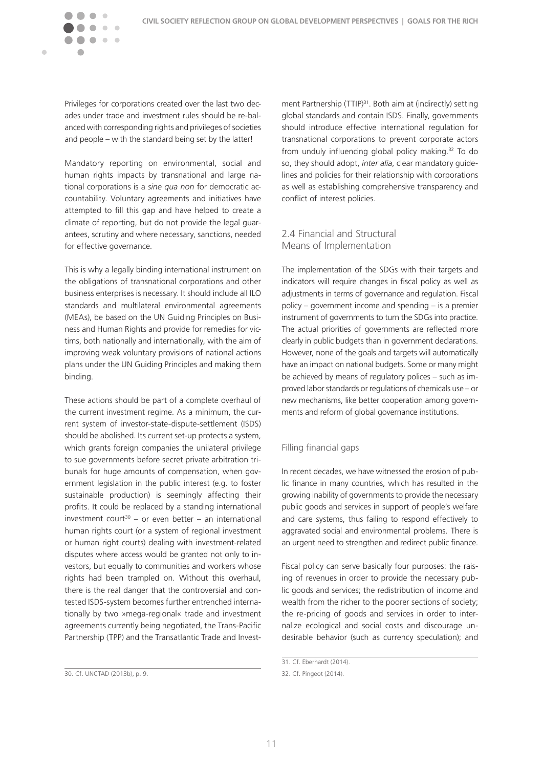Privileges for corporations created over the last two decades under trade and investment rules should be re-balanced with corresponding rights and privileges of societies

<span id="page-11-0"></span> $\blacksquare$ 

and people – with the standard being set by the latter!

Mandatory reporting on environmental, social and human rights impacts by transnational and large national corporations is a *sine qua non* for democratic accountability. Voluntary agreements and initiatives have attempted to fill this gap and have helped to create a climate of reporting, but do not provide the legal guarantees, scrutiny and where necessary, sanctions, needed for effective governance.

This is why a legally binding international instrument on the obligations of transnational corporations and other business enterprises is necessary. It should include all ILO standards and multilateral environmental agreements (MEAs), be based on the UN Guiding Principles on Business and Human Rights and provide for remedies for victims, both nationally and internationally, with the aim of improving weak voluntary provisions of national actions plans under the UN Guiding Principles and making them binding.

These actions should be part of a complete overhaul of the current investment regime. As a minimum, the current system of investor-state-dispute-settlement (ISDS) should be abolished. Its current set-up protects a system, which grants foreign companies the unilateral privilege to sue governments before secret private arbitration tribunals for huge amounts of compensation, when government legislation in the public interest (e.g. to foster sustainable production) is seemingly affecting their profits. It could be replaced by a standing international investment court<sup>30</sup> – or even better – an international human rights court (or a system of regional investment or human right courts) dealing with investment-related disputes where access would be granted not only to investors, but equally to communities and workers whose rights had been trampled on. Without this overhaul, there is the real danger that the controversial and contested ISDS-system becomes further entrenched internationally by two »mega-regional« trade and investment agreements currently being negotiated, the Trans-Pacific Partnership (TPP) and the Transatlantic Trade and Invest-

ment Partnership (TTIP)<sup>31</sup>. Both aim at (indirectly) setting global standards and contain ISDS. Finally, governments should introduce effective international regulation for transnational corporations to prevent corporate actors from unduly influencing global policy making.<sup>32</sup> To do so, they should adopt, *inter alia*, clear mandatory guidelines and policies for their relationship with corporations as well as establishing comprehensive transparency and conflict of interest policies.

### 2.4 Financial and Structural Means of Implementation

The implementation of the SDGs with their targets and indicators will require changes in fiscal policy as well as adjustments in terms of governance and regulation. Fiscal policy – government income and spending – is a premier instrument of governments to turn the SDGs into practice. The actual priorities of governments are reflected more clearly in public budgets than in government declarations. However, none of the goals and targets will automatically have an impact on national budgets. Some or many might be achieved by means of regulatory polices – such as improved labor standards or regulations of chemicals use – or new mechanisms, like better cooperation among governments and reform of global governance institutions.

### Filling financial gaps

In recent decades, we have witnessed the erosion of public finance in many countries, which has resulted in the growing inability of governments to provide the necessary public goods and services in support of people's welfare and care systems, thus failing to respond effectively to aggravated social and environmental problems. There is an urgent need to strengthen and redirect public finance.

Fiscal policy can serve basically four purposes: the raising of revenues in order to provide the necessary public goods and services; the redistribution of income and wealth from the richer to the poorer sections of society; the re-pricing of goods and services in order to internalize ecological and social costs and discourage undesirable behavior (such as currency speculation); and

<sup>30.</sup> Cf. UNCTAD (2013b), p. 9.

<sup>31.</sup> Cf. Eberhardt (2014).

<sup>32.</sup> Cf. Pingeot (2014).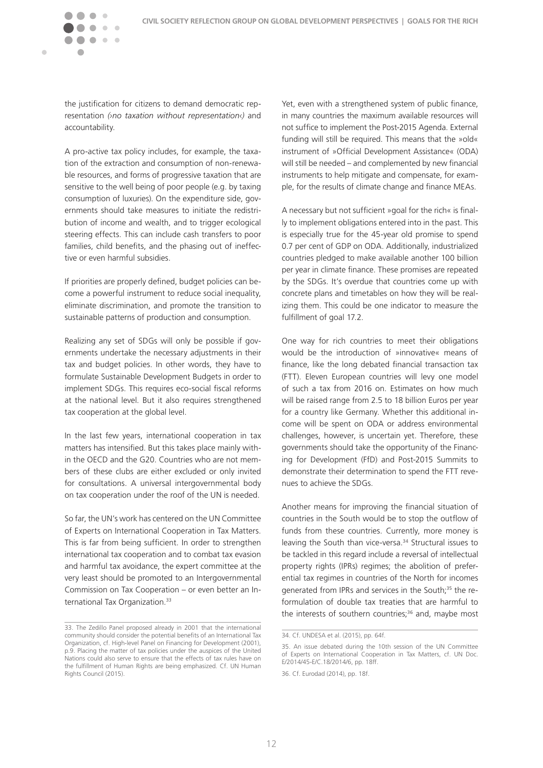the justification for citizens to demand democratic representation *(›no taxation without representation‹)* and accountability.

 $\rightarrow$  $\sim$   $\sim$ 

 $\blacksquare$ 

A pro-active tax policy includes, for example, the taxation of the extraction and consumption of non-renewable resources, and forms of progressive taxation that are sensitive to the well being of poor people (e.g. by taxing consumption of luxuries). On the expenditure side, governments should take measures to initiate the redistribution of income and wealth, and to trigger ecological steering effects. This can include cash transfers to poor families, child benefits, and the phasing out of ineffective or even harmful subsidies.

If priorities are properly defined, budget policies can become a powerful instrument to reduce social inequality, eliminate discrimination, and promote the transition to sustainable patterns of production and consumption.

Realizing any set of SDGs will only be possible if governments undertake the necessary adjustments in their tax and budget policies. In other words, they have to formulate Sustainable Development Budgets in order to implement SDGs. This requires eco-social fiscal reforms at the national level. But it also requires strengthened tax cooperation at the global level.

In the last few years, international cooperation in tax matters has intensified. But this takes place mainly within the OECD and the G20. Countries who are not members of these clubs are either excluded or only invited for consultations. A universal intergovernmental body on tax cooperation under the roof of the UN is needed.

So far, the UN's work has centered on the UN Committee of Experts on International Cooperation in Tax Matters. This is far from being sufficient. In order to strengthen international tax cooperation and to combat tax evasion and harmful tax avoidance, the expert committee at the very least should be promoted to an Intergovernmental Commission on Tax Cooperation – or even better an International Tax Organization.<sup>33</sup>

Yet, even with a strengthened system of public finance, in many countries the maximum available resources will not suffice to implement the Post-2015 Agenda. External funding will still be required. This means that the »old« instrument of »Official Development Assistance« (ODA) will still be needed – and complemented by new financial instruments to help mitigate and compensate, for example, for the results of climate change and finance MEAs.

A necessary but not sufficient »goal for the rich« is finally to implement obligations entered into in the past. This is especially true for the 45-year old promise to spend 0.7 per cent of GDP on ODA. Additionally, industrialized countries pledged to make available another 100 billion per year in climate finance. These promises are repeated by the SDGs. It's overdue that countries come up with concrete plans and timetables on how they will be realizing them. This could be one indicator to measure the fulfillment of goal 17.2.

One way for rich countries to meet their obligations would be the introduction of »innovative« means of finance, like the long debated financial transaction tax (FTT). Eleven European countries will levy one model of such a tax from 2016 on. Estimates on how much will be raised range from 2.5 to 18 billion Euros per year for a country like Germany. Whether this additional income will be spent on ODA or address environmental challenges, however, is uncertain yet. Therefore, these governments should take the opportunity of the Financing for Development (FfD) and Post-2015 Summits to demonstrate their determination to spend the FTT revenues to achieve the SDGs.

Another means for improving the financial situation of countries in the South would be to stop the outflow of funds from these countries. Currently, more money is leaving the South than vice-versa.<sup>34</sup> Structural issues to be tackled in this regard include a reversal of intellectual property rights (IPRs) regimes; the abolition of preferential tax regimes in countries of the North for incomes generated from IPRs and services in the South;<sup>35</sup> the reformulation of double tax treaties that are harmful to the interests of southern countries;<sup>36</sup> and, maybe most

<sup>33.</sup> The Zedillo Panel proposed already in 2001 that the international community should consider the potential benefits of an International Tax Organization, cf. High-level Panel on Financing for Development (2001), p.9. Placing the matter of tax policies under the auspices of the United Nations could also serve to ensure that the effects of tax rules have on the fulfillment of Human Rights are being emphasized. Cf. UN Human Rights Council (2015).

<sup>34.</sup> Cf. UNDESA et al. (2015), pp. 64f.

<sup>35.</sup> An issue debated during the 10th session of the UN Committee of Experts on International Cooperation in Tax Matters, cf. UN Doc. E/2014/45-E/C.18/2014/6, pp. 18ff.

<sup>36.</sup> Cf. Eurodad (2014), pp. 18f.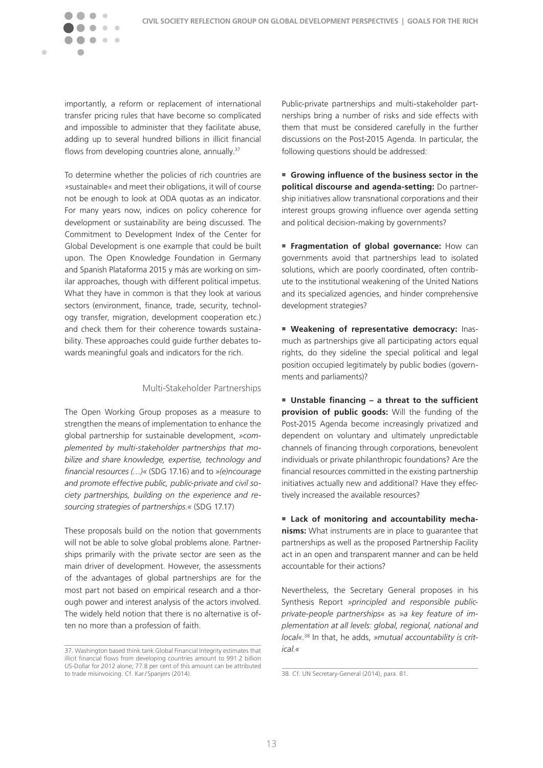

importantly, a reform or replacement of international transfer pricing rules that have become so complicated and impossible to administer that they facilitate abuse, adding up to several hundred billions in illicit financial flows from developing countries alone, annually.<sup>37</sup>

To determine whether the policies of rich countries are »sustainable« and meet their obligations, it will of course not be enough to look at ODA quotas as an indicator. For many years now, indices on policy coherence for development or sustainability are being discussed. The Commitment to Development Index of the Center for Global Development is one example that could be built upon. The Open Knowledge Foundation in Germany and Spanish Plataforma 2015 y más are working on similar approaches, though with different political impetus. What they have in common is that they look at various sectors (environment, finance, trade, security, technology transfer, migration, development cooperation etc.) and check them for their coherence towards sustainability. These approaches could guide further debates towards meaningful goals and indicators for the rich.

### Multi-Stakeholder Partnerships

The Open Working Group proposes as a measure to strengthen the means of implementation to enhance the global partnership for sustainable development, *»complemented by multi-stakeholder partnerships that mobilize and share knowledge, expertise, technology and financial resources (…)«* (SDG 17.16) and to *»(e)ncourage and promote effective public, public-private and civil society partnerships, building on the experience and resourcing strategies of partnerships.«* (SDG 17.17)

These proposals build on the notion that governments will not be able to solve global problems alone. Partnerships primarily with the private sector are seen as the main driver of development. However, the assessments of the advantages of global partnerships are for the most part not based on empirical research and a thorough power and interest analysis of the actors involved. The widely held notion that there is no alternative is often no more than a profession of faith.

Public-private partnerships and multi-stakeholder partnerships bring a number of risks and side effects with them that must be considered carefully in the further discussions on the Post-2015 Agenda. In particular, the following questions should be addressed:

**n** Growing influence of the business sector in the **political discourse and agenda-setting:** Do partnership initiatives allow transnational corporations and their interest groups growing influence over agenda setting and political decision-making by governments?

**Fragmentation of global governance:** How can governments avoid that partnerships lead to isolated solutions, which are poorly coordinated, often contribute to the institutional weakening of the United Nations and its specialized agencies, and hinder comprehensive development strategies?

**Neakening of representative democracy: Inas**much as partnerships give all participating actors equal rights, do they sideline the special political and legal position occupied legitimately by public bodies (governments and parliaments)?

■ Unstable financing – a threat to the sufficient **provision of public goods:** Will the funding of the Post-2015 Agenda become increasingly privatized and dependent on voluntary and ultimately unpredictable channels of financing through corporations, benevolent individuals or private philanthropic foundations? Are the financial resources committed in the existing partnership initiatives actually new and additional? Have they effectively increased the available resources?

**Example 1** Lack of monitoring and accountability mecha**nisms:** What instruments are in place to guarantee that partnerships as well as the proposed Partnership Facility act in an open and transparent manner and can be held accountable for their actions?

Nevertheless, the Secretary General proposes in his Synthesis Report *»principled and responsible publicprivate-people partnerships«* as *»a key feature of implementation at all levels: global, regional, national and local«.*38 In that, he adds, *»mutual accountability is critical.«*

<sup>37.</sup> Washington based think tank Global Financial Integrity estimates that illicit financial flows from developing countries amount to 991.2 billion US-Dollar for 2012 alone; 77.8 per cent of this amount can be attributed to trade misinvoicing. Cf. Kar/ Spanjers (2014).

<sup>38.</sup> Cf. UN Secretary-General (2014), para. 81.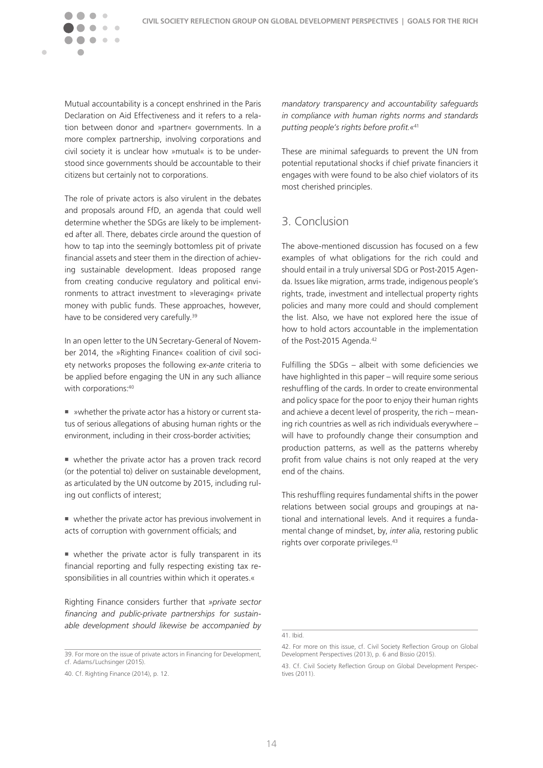Mutual accountability is a concept enshrined in the Paris Declaration on Aid Effectiveness and it refers to a relation between donor and »partner« governments. In a more complex partnership, involving corporations and civil society it is unclear how »mutual« is to be understood since governments should be accountable to their citizens but certainly not to corporations.

 $\sim$   $\sim$ 

<span id="page-14-0"></span> $\blacksquare$ 

The role of private actors is also virulent in the debates and proposals around FfD, an agenda that could well determine whether the SDGs are likely to be implemented after all. There, debates circle around the question of how to tap into the seemingly bottomless pit of private financial assets and steer them in the direction of achieving sustainable development. Ideas proposed range from creating conducive regulatory and political environments to attract investment to »leveraging« private money with public funds. These approaches, however, have to be considered very carefully.<sup>39</sup>

In an open letter to the UN Secretary-General of November 2014, the »Righting Finance« coalition of civil society networks proposes the following *ex-ante* criteria to be applied before engaging the UN in any such alliance with corporations: 40

■ »whether the private actor has a history or current status of serious allegations of abusing human rights or the environment, including in their cross-border activities;

 $\blacksquare$  whether the private actor has a proven track record (or the potential to) deliver on sustainable development, as articulated by the UN outcome by 2015, including ruling out conflicts of interest;

 $\blacksquare$  whether the private actor has previous involvement in acts of corruption with government officials; and

 $\blacksquare$  whether the private actor is fully transparent in its financial reporting and fully respecting existing tax responsibilities in all countries within which it operates.«

Righting Finance considers further that *»private sector financing and public-private partnerships for sustainable development should likewise be accompanied by* 

39. For more on the issue of private actors in Financing for Development, cf. Adams/ Luchsinger (2015).

*mandatory transparency and accountability safeguards in compliance with human rights norms and standards putting people's rights before profit.«*<sup>41</sup>

These are minimal safeguards to prevent the UN from potential reputational shocks if chief private financiers it engages with were found to be also chief violators of its most cherished principles.

## 3. Conclusion

The above-mentioned discussion has focused on a few examples of what obligations for the rich could and should entail in a truly universal SDG or Post-2015 Agenda. Issues like migration, arms trade, indigenous people's rights, trade, investment and intellectual property rights policies and many more could and should complement the list. Also, we have not explored here the issue of how to hold actors accountable in the implementation of the Post-2015 Agenda.<sup>42</sup>

Fulfilling the SDGs – albeit with some deficiencies we have highlighted in this paper – will require some serious reshuffling of the cards. In order to create environmental and policy space for the poor to enjoy their human rights and achieve a decent level of prosperity, the rich – meaning rich countries as well as rich individuals everywhere – will have to profoundly change their consumption and production patterns, as well as the patterns whereby profit from value chains is not only reaped at the very end of the chains.

This reshuffling requires fundamental shifts in the power relations between social groups and groupings at national and international levels. And it requires a fundamental change of mindset, by, *inter alia*, restoring public rights over corporate privileges.<sup>43</sup>

<sup>40.</sup> Cf. Righting Finance (2014), p. 12.

<sup>41.</sup> Ibid.

<sup>42.</sup> For more on this issue, cf. Civil Society Reflection Group on Global Development Perspectives (2013), p. 6 and Bissio (2015).

<sup>43.</sup> Cf. Civil Society Reflection Group on Global Development Perspectives (2011).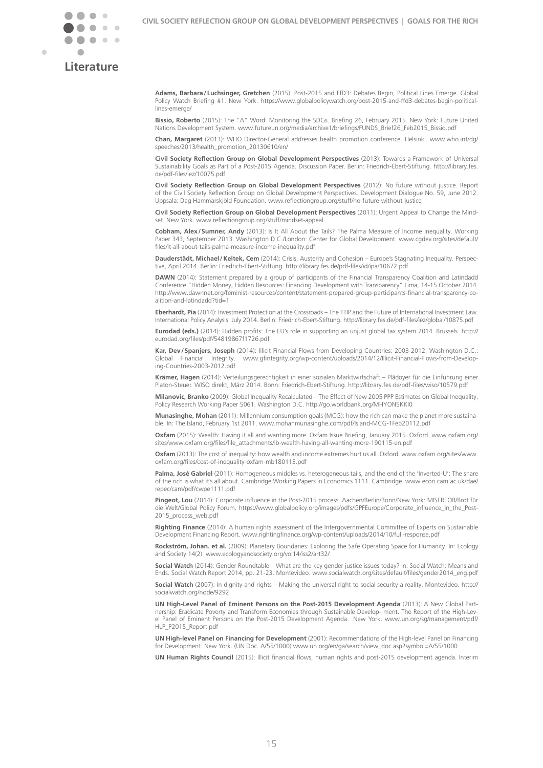



## **Literature**

**Adams, Barbara/ Luchsinger, Gretchen** (2015): Post-2015 and FfD3: Debates Begin, Political Lines Emerge. Global Policy Watch Briefing #1. New York. [https://www.globalpolicywatch.org/post-2015-and-ffd3-debates-begin-political](https://www.globalpolicywatch.org/post-2015-and-ffd3-debates-begin-political-lines-emerge/)[lines-emerge/](https://www.globalpolicywatch.org/post-2015-and-ffd3-debates-begin-political-lines-emerge/)

**Bissio, Roberto** (2015): The "A" Word: Monitoring the SDGs. Briefing 26, February 2015. New York: Future United Nations Development System. www.futureun.org/media/archive1/briefings/FUNDS\_Brief26\_Feb2015\_Bissio.pdf

**Chan, Margaret** (2013): WHO Director-General addresses health promotion conference. Helsinki. [www.who.int/dg/](http://www.who.int/dg/speeches/2013/health_promotion_20130610/en/) [speeches/2013/health\\_promotion\\_20130610/en/](http://www.who.int/dg/speeches/2013/health_promotion_20130610/en/)

**Civil Society Reflection Group on Global Development Perspectives** (2013): Towards a Framework of Universal Sustainability Goals as Part of a Post-2015 Agenda. Discussion Paper. Berlin: Friedrich-Ebert-Stiftung. [http://library.fes.](http://library.fes.de/pdf-files/iez/10075.pdf) [de/pdf-files/iez/10075.pdf](http://library.fes.de/pdf-files/iez/10075.pdf)

**Civil Society Reflection Group on Global Development Perspectives** (2012): No future without justice. Report of the Civil Society Reflection Group on Global Development Perspectives. Development Dialogue No. 59, June 2012. Uppsala: Dag Hammarskjöld Foundation. www.reflectiongroup.org/stuff/no-future-without-justice

**Civil Society Reflection Group on Global Development Perspectives** (2011): Urgent Appeal to Change the Mindset. New York. www.reflectiongroup.org/stuff/mindset-appeal

**Cobham, Alex/Sumner, Andy** (2013): Is It All About the Tails? The Palma Measure of Income Inequality. Working Paper 343, September 2013. Washington D.C./London: Center for Global Development. [www.cgdev.org/sites/default/](http://www.cgdev.org/sites/default/files/it-all-about-tails-palma-measure-income-inequality.pdf) [files/it-all-about-tails-palma-measure-income-inequality.pdf](http://www.cgdev.org/sites/default/files/it-all-about-tails-palma-measure-income-inequality.pdf)

**Dauderstädt, Michael/Keltek, Cem** (2014): Crisis, Austerity and Cohesion – Europe's Stagnating Inequality. Perspective, April 2014. Berlin: Friedrich-Ebert-Stiftung. http://library.fes.de/pdf-files/id/ipa/10672.pdf

**DAWN** (2014): Statement prepared by a group of participants of the Financial Transparency Coalition and Latindadd Conference "Hidden Money, Hidden Resources: Financing Development with Transparency" Lima, 14-15 October 2014. [http://www.dawnnet.org/feminist-resources/content/statement-prepared-group-participants-financial-transparency-co](http://www.dawnnet.org/feminist-resources/content/statement-prepared-group-participants-financial-transparency-coalition-and-latindadd%3Ftid%3D1)[alition-and-latindadd?tid=1](http://www.dawnnet.org/feminist-resources/content/statement-prepared-group-participants-financial-transparency-coalition-and-latindadd%3Ftid%3D1)

**Eberhardt, Pia** (2014): Investment Protection at the Crossroads – The TTIP and the Future of International Investment Law. International Policy Analysis. July 2014. Berlin: Friedrich-Ebert-Stiftung. <http://library.fes.de/pdf-files/iez/global/10875.pdf>

**Eurodad (eds.)** (2014): Hidden profits: The EU's role in supporting an unjust global tax system 2014. Brussels. [http://](http://eurodad.org/files/pdf/54819867f1726.pdf) [eurodad.org/files/pdf/54819867f1726.pdf](http://eurodad.org/files/pdf/54819867f1726.pdf)

**Kar, Dev/Spanjers, Joseph** (2014): Illicit Financial Flows from Developing Countries: 2003-2012. Washington D.C.: Global Financial Integrity. [www.gfintegrity.org/wp-content/uploads/2014/12/Illicit-Financial-Flows-from-Develop](http://www.gfintegrity.org/wp-content/uploads/2014/12/Illicit-Financial-Flows-from-Developing-Countries-2003-2012.pdf)[ing-Countries-2003-2012.pdf](http://www.gfintegrity.org/wp-content/uploads/2014/12/Illicit-Financial-Flows-from-Developing-Countries-2003-2012.pdf)

**Krämer, Hagen** (2014): Verteilungsgerechtigkeit in einer sozialen Marktwirtschaft – Plädoyer für die Einführung einer Platon-Steuer. WISO direkt, März 2014. Bonn: Friedrich-Ebert-Stiftung. http://library.fes.de/pdf-files/wiso/10579.pdf

**Milanovic, Branko** (2009): Global Inequality Recalculated – The Effect of New 2005 PPP Estimates on Global Inequality. Policy Research Working Paper 5061. Washington D.C. http://go.worldbank.org/MHYON5KKI0

**Munasinghe, Mohan** (2011): Millennium consumption goals (MCG): how the rich can make the planet more sustainable. In: The Island, February 1st 2011. www.mohanmunasinghe.com/pdf/Island-MCG-1Feb20112.pdf

**Oxfam** (2015): Wealth: Having it all and wanting more. Oxfam Issue Briefing, January 2015. Oxford. [www.oxfam.org/](http://www.oxfam.org/sites/www.oxfam.org/files/file_attachments/ib-wealth-having-all-wanting-more-190115-en.pdf) [sites/www.oxfam.org/files/file\\_attachments/ib-wealth-having-all-wanting-more-190115-en.pdf](http://www.oxfam.org/sites/www.oxfam.org/files/file_attachments/ib-wealth-having-all-wanting-more-190115-en.pdf)

**Oxfam** (2013): The cost of inequality: how wealth and income extremes hurt us all. Oxford. [www.oxfam.org/sites/www.](http://www.oxfam.org/sites/www.oxfam.org/files/cost-of-inequality-oxfam-mb180113.pdf) [oxfam.org/files/cost-of-inequality-oxfam-mb180113.pdf](http://www.oxfam.org/sites/www.oxfam.org/files/cost-of-inequality-oxfam-mb180113.pdf)

Palma, José Gabriel (2011): Homogeneous middles vs. heterogeneous tails, and the end of the 'Inverted-U': The share of the rich is what it's all about. Cambridge Working Papers in Economics 1111. Cambridge. [www.econ.cam.ac.uk/dae/](http://www.econ.cam.ac.uk/dae/repec/cam/pdf/cwpe1111.pdf) [repec/cam/pdf/cwpe1111.pdf](http://www.econ.cam.ac.uk/dae/repec/cam/pdf/cwpe1111.pdf)

**Pingeot, Lou** (2014): Corporate influence in the Post-2015 process. Aachen/Berlin/Bonn/New York: MISEREOR/Brot für die Welt/Global Policy Forum. [https://www.globalpolicy.org/images/pdfs/GPFEurope/Corporate\\_influence\\_in\\_the\\_Post-](https://www.globalpolicy.org/images/pdfs/GPFEurope/Corporate_influence_in_the_Post-2015_process_web.pdf)[2015\\_process\\_web.pdf](https://www.globalpolicy.org/images/pdfs/GPFEurope/Corporate_influence_in_the_Post-2015_process_web.pdf)

**Righting Finance** (2014): A human rights assessment of the Intergovernmental Committee of Experts on Sustainable Development Financing Report. www.rightingfinance.org/wp-content/uploads/2014/10/full-response.pdf

**Rockström, Johan. et al.** (2009): Planetary Boundaries: Exploring the Safe Operating Space for Humanity. In: Ecology and Society 14(2). www.ecologyandsociety.org/vol14/iss2/art32/

**Social Watch** (2014): Gender Roundtable – What are the key gender justice issues today? In: Social Watch: Means and Ends. Social Watch Report 2014, pp. 21-23. Montevideo. www.socialwatch.org/sites/default/files/gender2014\_eng.pdf

**Social Watch** (2007): In dignity and rights – Making the universal right to social security a reality. Montevideo. [http://](http://socialwatch.org/node/9292) [socialwatch.org/node/9292](http://socialwatch.org/node/9292)

**UN High-Level Panel of Eminent Persons on the Post-2015 Development Agenda** (2013): A New Global Partnership: Eradicate Poverty and Transform Economies through Sustainable Develop- ment. The Report of the High-Level Panel of Eminent Persons on the Post-2015 Development Agenda. New York. [www.un.org/sg/management/pdf/](http://www.un.org/sg/management/pdf/HLP_P2015_Report.pdf) [HLP\\_P2015\\_Report.pdf](http://www.un.org/sg/management/pdf/HLP_P2015_Report.pdf)

**UN High-level Panel on Financing for Development** (2001): Recommendations of the High-level Panel on Financing for Development. New York. (UN Doc. A/55/1000) [www.un.org/en/ga/search/view\\_doc.asp?symbol=A/55/1000](http://www.un.org/en/ga/search/view_doc.asp%3Fsymbol%3DA/55/1000)

**UN Human Rights Council** (2015): Illicit financial flows, human rights and post-2015 development agenda. Interim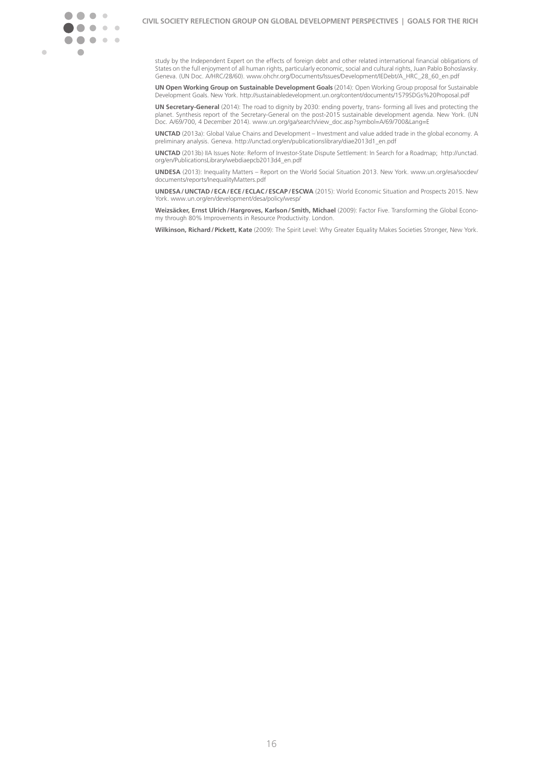

study by the Independent Expert on the effects of foreign debt and other related international financial obligations of States on the full enjoyment of all human rights, particularly economic, social and cultural rights, Juan Pablo Bohoslavsky. Geneva. (UN Doc. A/HRC/28/60). www.ohchr.org/Documents/Issues/Development/IEDebt/A\_HRC\_28\_60\_en.pdf

**UN Open Working Group on Sustainable Development Goals** (2014): Open Working Group proposal for Sustainable Development Goals. New York. http://sustainabledevelopment.un.org/content/documents/1579SDGs%20Proposal.pdf

**UN Secretary-General** (2014): The road to dignity by 2030: ending poverty, trans- forming all lives and protecting the planet. Synthesis report of the Secretary-General on the post-2015 sustainable development agenda. New York. (UN Doc. A/69/700, 4 December 2014). www.un.org/ga/search/view\_doc.asp?symbol=A/69/700&Lang=E

**UNCTAD** (2013a): Global Value Chains and Development – Investment and value added trade in the global economy. A preliminary analysis. Geneva. http://unctad.org/en/publicationslibrary/diae2013d1\_en.pdf

**UNCTAD** (2013b) IIA Issues Note: Reform of Investor-State Dispute Settlement: In Search for a Roadmap; [http://unctad.](http://unctad.org/en/PublicationsLibrary/webdiaepcb2013d4_en.pdf) [org/en/PublicationsLibrary/webdiaepcb2013d4\\_en.pdf](http://unctad.org/en/PublicationsLibrary/webdiaepcb2013d4_en.pdf)

**UNDESA** (2013): Inequality Matters – Report on the World Social Situation 2013. New York. [www.un.org/esa/socdev/](http://www.un.org/esa/socdev/documents/reports/InequalityMatters.pdf) [documents/reports/InequalityMatters.pdf](http://www.un.org/esa/socdev/documents/reports/InequalityMatters.pdf)

**UNDESA / UNCTAD/ ECA / ECE / ECLAC/ ESCAP / ESCWA** (2015): World Economic Situation and Prospects 2015. New York. www.un.org/en/development/desa/policy/wesp/

**Weizsäcker, Ernst Ulrich/Hargroves, Karlson/Smith, Michael** (2009): Factor Five. Transforming the Global Economy through 80% Improvements in Resource Productivity. London.

**Wilkinson, Richard/ Pickett, Kate** (2009): The Spirit Level: Why Greater Equality Makes Societies Stronger, New York.